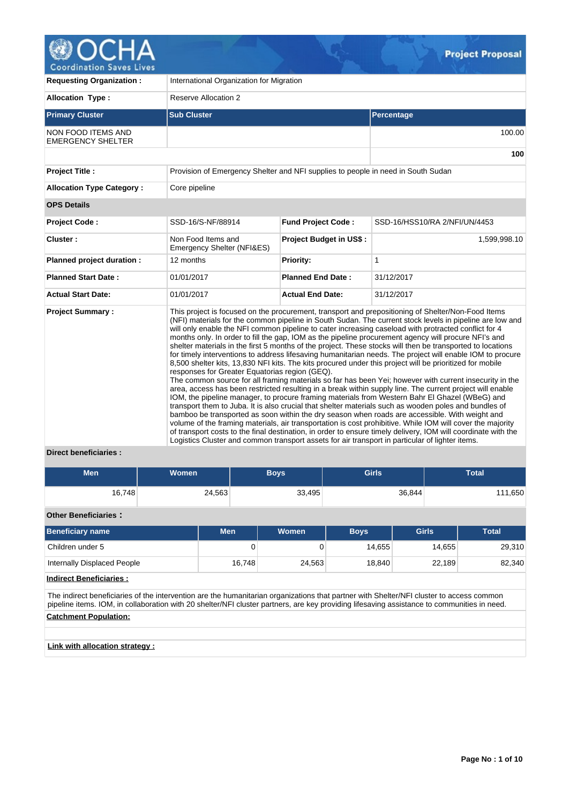

| <b>Requesting Organization:</b>                       | International Organization for Migration                                                                                                          |                           |                                                                                                                                                                                                                                                                                                                                                                                                                                                                                                                                                                                                                                                                                                                                                                                                                                                                                                                                                                                                                                                                                                                                                                                                                                                                                                                                                                                                                                                                                                                                           |  |  |  |  |  |  |
|-------------------------------------------------------|---------------------------------------------------------------------------------------------------------------------------------------------------|---------------------------|-------------------------------------------------------------------------------------------------------------------------------------------------------------------------------------------------------------------------------------------------------------------------------------------------------------------------------------------------------------------------------------------------------------------------------------------------------------------------------------------------------------------------------------------------------------------------------------------------------------------------------------------------------------------------------------------------------------------------------------------------------------------------------------------------------------------------------------------------------------------------------------------------------------------------------------------------------------------------------------------------------------------------------------------------------------------------------------------------------------------------------------------------------------------------------------------------------------------------------------------------------------------------------------------------------------------------------------------------------------------------------------------------------------------------------------------------------------------------------------------------------------------------------------------|--|--|--|--|--|--|
| <b>Allocation Type:</b>                               | <b>Reserve Allocation 2</b>                                                                                                                       |                           |                                                                                                                                                                                                                                                                                                                                                                                                                                                                                                                                                                                                                                                                                                                                                                                                                                                                                                                                                                                                                                                                                                                                                                                                                                                                                                                                                                                                                                                                                                                                           |  |  |  |  |  |  |
| <b>Primary Cluster</b>                                | <b>Sub Cluster</b>                                                                                                                                |                           | Percentage                                                                                                                                                                                                                                                                                                                                                                                                                                                                                                                                                                                                                                                                                                                                                                                                                                                                                                                                                                                                                                                                                                                                                                                                                                                                                                                                                                                                                                                                                                                                |  |  |  |  |  |  |
| <b>NON FOOD ITEMS AND</b><br><b>EMERGENCY SHELTER</b> |                                                                                                                                                   |                           | 100.00                                                                                                                                                                                                                                                                                                                                                                                                                                                                                                                                                                                                                                                                                                                                                                                                                                                                                                                                                                                                                                                                                                                                                                                                                                                                                                                                                                                                                                                                                                                                    |  |  |  |  |  |  |
|                                                       |                                                                                                                                                   |                           | 100                                                                                                                                                                                                                                                                                                                                                                                                                                                                                                                                                                                                                                                                                                                                                                                                                                                                                                                                                                                                                                                                                                                                                                                                                                                                                                                                                                                                                                                                                                                                       |  |  |  |  |  |  |
| <b>Project Title:</b>                                 | Provision of Emergency Shelter and NFI supplies to people in need in South Sudan                                                                  |                           |                                                                                                                                                                                                                                                                                                                                                                                                                                                                                                                                                                                                                                                                                                                                                                                                                                                                                                                                                                                                                                                                                                                                                                                                                                                                                                                                                                                                                                                                                                                                           |  |  |  |  |  |  |
| <b>Allocation Type Category:</b>                      | Core pipeline                                                                                                                                     |                           |                                                                                                                                                                                                                                                                                                                                                                                                                                                                                                                                                                                                                                                                                                                                                                                                                                                                                                                                                                                                                                                                                                                                                                                                                                                                                                                                                                                                                                                                                                                                           |  |  |  |  |  |  |
| <b>OPS Details</b>                                    |                                                                                                                                                   |                           |                                                                                                                                                                                                                                                                                                                                                                                                                                                                                                                                                                                                                                                                                                                                                                                                                                                                                                                                                                                                                                                                                                                                                                                                                                                                                                                                                                                                                                                                                                                                           |  |  |  |  |  |  |
| <b>Project Code:</b>                                  | SSD-16/S-NF/88914                                                                                                                                 | <b>Fund Project Code:</b> | SSD-16/HSS10/RA 2/NFI/UN/4453                                                                                                                                                                                                                                                                                                                                                                                                                                                                                                                                                                                                                                                                                                                                                                                                                                                                                                                                                                                                                                                                                                                                                                                                                                                                                                                                                                                                                                                                                                             |  |  |  |  |  |  |
| Cluster:                                              | Non Food Items and<br>Emergency Shelter (NFI&ES)                                                                                                  | Project Budget in US\$:   | 1,599,998.10                                                                                                                                                                                                                                                                                                                                                                                                                                                                                                                                                                                                                                                                                                                                                                                                                                                                                                                                                                                                                                                                                                                                                                                                                                                                                                                                                                                                                                                                                                                              |  |  |  |  |  |  |
| Planned project duration :                            | 12 months                                                                                                                                         | <b>Priority:</b>          | $\mathbf{1}$                                                                                                                                                                                                                                                                                                                                                                                                                                                                                                                                                                                                                                                                                                                                                                                                                                                                                                                                                                                                                                                                                                                                                                                                                                                                                                                                                                                                                                                                                                                              |  |  |  |  |  |  |
| <b>Planned Start Date:</b>                            | 01/01/2017                                                                                                                                        | <b>Planned End Date:</b>  | 31/12/2017                                                                                                                                                                                                                                                                                                                                                                                                                                                                                                                                                                                                                                                                                                                                                                                                                                                                                                                                                                                                                                                                                                                                                                                                                                                                                                                                                                                                                                                                                                                                |  |  |  |  |  |  |
| <b>Actual Start Date:</b>                             | 01/01/2017                                                                                                                                        | <b>Actual End Date:</b>   | 31/12/2017                                                                                                                                                                                                                                                                                                                                                                                                                                                                                                                                                                                                                                                                                                                                                                                                                                                                                                                                                                                                                                                                                                                                                                                                                                                                                                                                                                                                                                                                                                                                |  |  |  |  |  |  |
| <b>Project Summary:</b>                               | responses for Greater Equatorias region (GEQ).<br>Logistics Cluster and common transport assets for air transport in particular of lighter items. |                           | This project is focused on the procurement, transport and prepositioning of Shelter/Non-Food Items<br>(NFI) materials for the common pipeline in South Sudan. The current stock levels in pipeline are low and<br>will only enable the NFI common pipeline to cater increasing caseload with protracted conflict for 4<br>months only. In order to fill the gap, IOM as the pipeline procurement agency will procure NFI's and<br>shelter materials in the first 5 months of the project. These stocks will then be transported to locations<br>for timely interventions to address lifesaving humanitarian needs. The project will enable IOM to procure<br>8,500 shelter kits, 13,830 NFI kits. The kits procured under this project will be prioritized for mobile<br>The common source for all framing materials so far has been Yei; however with current insecurity in the<br>area, access has been restricted resulting in a break within supply line. The current project will enable<br>IOM, the pipeline manager, to procure framing materials from Western Bahr El Ghazel (WBeG) and<br>transport them to Juba. It is also crucial that shelter materials such as wooden poles and bundles of<br>bamboo be transported as soon within the dry season when roads are accessible. With weight and<br>volume of the framing materials, air transportation is cost prohibitive. While IOM will cover the majority<br>of transport costs to the final destination, in order to ensure timely delivery, IOM will coordinate with the |  |  |  |  |  |  |

### **Direct beneficiaries :**

| <b>Men</b> | <b>Women</b> | <b>Boys</b> | <b>Girls</b> | Total   |
|------------|--------------|-------------|--------------|---------|
| 16,748     | 24,563       | 33,495      | 36,844       | 111,650 |

## **Other Beneficiaries :**

| <b>Beneficiary name</b>     | <b>Men</b> | Women  | <b>Boys</b> | <b>Girls</b> | Total  |
|-----------------------------|------------|--------|-------------|--------------|--------|
| Children under 5            | 0          |        | 14.655      | 14.655       | 29,310 |
| Internally Displaced People | 16.748     | 24,563 | 18.840      | 22,189       | 82,340 |

**Indirect Beneficiaries :**

The indirect beneficiaries of the intervention are the humanitarian organizations that partner with Shelter/NFI cluster to access common pipeline items. IOM, in collaboration with 20 shelter/NFI cluster partners, are key providing lifesaving assistance to communities in need. **Catchment Population:**

**Link with allocation strategy :**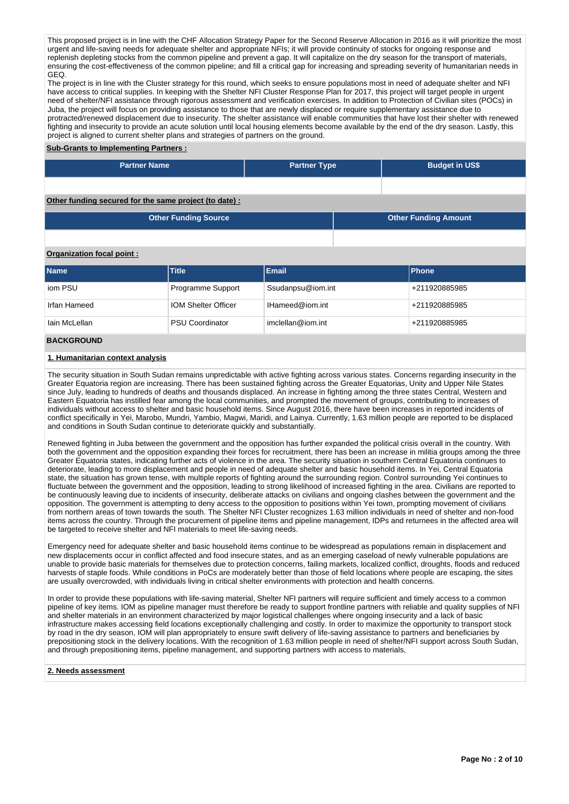This proposed project is in line with the CHF Allocation Strategy Paper for the Second Reserve Allocation in 2016 as it will prioritize the most urgent and life-saving needs for adequate shelter and appropriate NFIs; it will provide continuity of stocks for ongoing response and replenish depleting stocks from the common pipeline and prevent a gap. It will capitalize on the dry season for the transport of materials, ensuring the cost-effectiveness of the common pipeline; and fill a critical gap for increasing and spreading severity of humanitarian needs in GEQ.

The project is in line with the Cluster strategy for this round, which seeks to ensure populations most in need of adequate shelter and NFI have access to critical supplies. In keeping with the Shelter NFI Cluster Response Plan for 2017, this project will target people in urgent need of shelter/NFI assistance through rigorous assessment and verification exercises. In addition to Protection of Civilian sites (POCs) in Juba, the project will focus on providing assistance to those that are newly displaced or require supplementary assistance due to protracted/renewed displacement due to insecurity. The shelter assistance will enable communities that have lost their shelter with renewed fighting and insecurity to provide an acute solution until local housing elements become available by the end of the dry season. Lastly, this project is aligned to current shelter plans and strategies of partners on the ground.

### **Sub-Grants to Implementing Partners :**

| <b>Partner Name</b> | <b>Partner Type</b> | <b>Budget in US\$</b> |
|---------------------|---------------------|-----------------------|
|                     |                     |                       |

## **Other funding secured for the same project (to date) :**

| <b>Other Funding Source</b> | <b>Other Funding Amount</b> |
|-----------------------------|-----------------------------|
|                             |                             |

## **Organization focal point :**

| <b>Name</b>   | <b>Title</b>               | <b>Email</b>      | <b>Phone</b>  |
|---------------|----------------------------|-------------------|---------------|
| iom PSU       | Programme Support          | Ssudanpsu@iom.int | +211920885985 |
| Irfan Hameed  | <b>IOM Shelter Officer</b> | IHameed@iom.int   | +211920885985 |
| lain McLellan | <b>PSU Coordinator</b>     | imclellan@iom.int | +211920885985 |
|               |                            |                   |               |

## **BACKGROUND**

### **1. Humanitarian context analysis**

The security situation in South Sudan remains unpredictable with active fighting across various states. Concerns regarding insecurity in the Greater Equatoria region are increasing. There has been sustained fighting across the Greater Equatorias, Unity and Upper Nile States since July, leading to hundreds of deaths and thousands displaced. An increase in fighting among the three states Central, Western and Eastern Equatoria has instilled fear among the local communities, and prompted the movement of groups, contributing to increases of individuals without access to shelter and basic household items. Since August 2016, there have been increases in reported incidents of conflict specifically in Yei, Marobo, Mundri, Yambio, Magwi, Maridi, and Lainya. Currently, 1.63 million people are reported to be displaced and conditions in South Sudan continue to deteriorate quickly and substantially.

Renewed fighting in Juba between the government and the opposition has further expanded the political crisis overall in the country. With both the government and the opposition expanding their forces for recruitment, there has been an increase in militia groups among the three Greater Equatoria states, indicating further acts of violence in the area. The security situation in southern Central Equatoria continues to deteriorate, leading to more displacement and people in need of adequate shelter and basic household items. In Yei, Central Equatoria state, the situation has grown tense, with multiple reports of fighting around the surrounding region. Control surrounding Yei continues to fluctuate between the government and the opposition, leading to strong likelihood of increased fighting in the area. Civilians are reported to be continuously leaving due to incidents of insecurity, deliberate attacks on civilians and ongoing clashes between the government and the opposition. The government is attempting to deny access to the opposition to positions within Yei town, prompting movement of civilians from northern areas of town towards the south. The Shelter NFI Cluster recognizes 1.63 million individuals in need of shelter and non-food items across the country. Through the procurement of pipeline items and pipeline management, IDPs and returnees in the affected area will be targeted to receive shelter and NFI materials to meet life-saving needs.

Emergency need for adequate shelter and basic household items continue to be widespread as populations remain in displacement and new displacements occur in conflict affected and food insecure states, and as an emerging caseload of newly vulnerable populations are unable to provide basic materials for themselves due to protection concerns, failing markets, localized conflict, droughts, floods and reduced harvests of staple foods. While conditions in PoCs are moderately better than those of field locations where people are escaping, the sites are usually overcrowded, with individuals living in critical shelter environments with protection and health concerns.

In order to provide these populations with life-saving material, Shelter NFI partners will require sufficient and timely access to a common pipeline of key items. IOM as pipeline manager must therefore be ready to support frontline partners with reliable and quality supplies of NFI and shelter materials in an environment characterized by major logistical challenges where ongoing insecurity and a lack of basic infrastructure makes accessing field locations exceptionally challenging and costly. In order to maximize the opportunity to transport stock by road in the dry season, IOM will plan appropriately to ensure swift delivery of life-saving assistance to partners and beneficiaries by prepositioning stock in the delivery locations. With the recognition of 1.63 million people in need of shelter/NFI support across South Sudan, and through prepositioning items, pipeline management, and supporting partners with access to materials,

### **2. Needs assessment**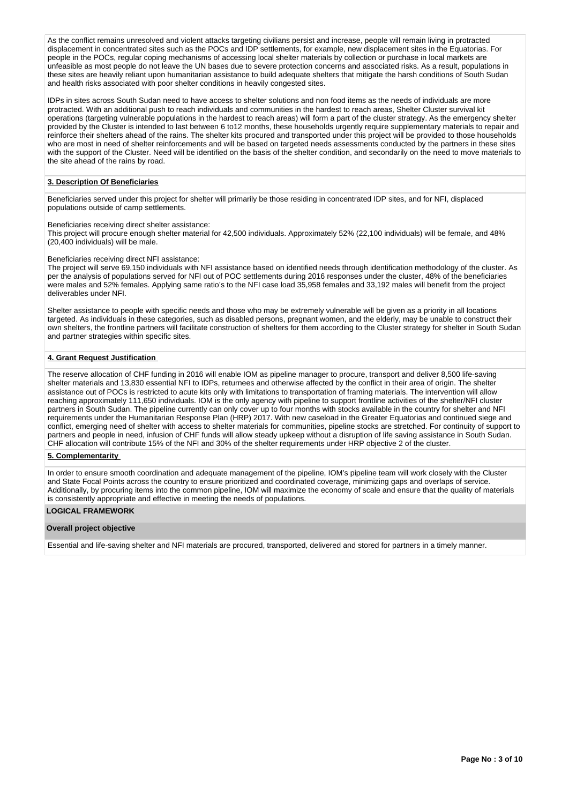As the conflict remains unresolved and violent attacks targeting civilians persist and increase, people will remain living in protracted displacement in concentrated sites such as the POCs and IDP settlements, for example, new displacement sites in the Equatorias. For people in the POCs, regular coping mechanisms of accessing local shelter materials by collection or purchase in local markets are unfeasible as most people do not leave the UN bases due to severe protection concerns and associated risks. As a result, populations in these sites are heavily reliant upon humanitarian assistance to build adequate shelters that mitigate the harsh conditions of South Sudan and health risks associated with poor shelter conditions in heavily congested sites.

IDPs in sites across South Sudan need to have access to shelter solutions and non food items as the needs of individuals are more protracted. With an additional push to reach individuals and communities in the hardest to reach areas, Shelter Cluster survival kit operations (targeting vulnerable populations in the hardest to reach areas) will form a part of the cluster strategy. As the emergency shelter provided by the Cluster is intended to last between 6 to12 months, these households urgently require supplementary materials to repair and reinforce their shelters ahead of the rains. The shelter kits procured and transported under this project will be provided to those households who are most in need of shelter reinforcements and will be based on targeted needs assessments conducted by the partners in these sites with the support of the Cluster. Need will be identified on the basis of the shelter condition, and secondarily on the need to move materials to the site ahead of the rains by road.

### **3. Description Of Beneficiaries**

Beneficiaries served under this project for shelter will primarily be those residing in concentrated IDP sites, and for NFI, displaced populations outside of camp settlements.

Beneficiaries receiving direct shelter assistance:

This project will procure enough shelter material for 42,500 individuals. Approximately 52% (22,100 individuals) will be female, and 48% (20,400 individuals) will be male.

Beneficiaries receiving direct NFI assistance:

The project will serve 69,150 individuals with NFI assistance based on identified needs through identification methodology of the cluster. As per the analysis of populations served for NFI out of POC settlements during 2016 responses under the cluster, 48% of the beneficiaries were males and 52% females. Applying same ratio's to the NFI case load 35,958 females and 33,192 males will benefit from the project deliverables under NFI.

Shelter assistance to people with specific needs and those who may be extremely vulnerable will be given as a priority in all locations targeted. As individuals in these categories, such as disabled persons, pregnant women, and the elderly, may be unable to construct their own shelters, the frontline partners will facilitate construction of shelters for them according to the Cluster strategy for shelter in South Sudan and partner strategies within specific sites.

### **4. Grant Request Justification**

The reserve allocation of CHF funding in 2016 will enable IOM as pipeline manager to procure, transport and deliver 8,500 life-saving shelter materials and 13,830 essential NFI to IDPs, returnees and otherwise affected by the conflict in their area of origin. The shelter assistance out of POCs is restricted to acute kits only with limitations to transportation of framing materials. The intervention will allow reaching approximately 111,650 individuals. IOM is the only agency with pipeline to support frontline activities of the shelter/NFI cluster partners in South Sudan. The pipeline currently can only cover up to four months with stocks available in the country for shelter and NFI requirements under the Humanitarian Response Plan (HRP) 2017. With new caseload in the Greater Equatorias and continued siege and conflict, emerging need of shelter with access to shelter materials for communities, pipeline stocks are stretched. For continuity of support to partners and people in need, infusion of CHF funds will allow steady upkeep without a disruption of life saving assistance in South Sudan. CHF allocation will contribute 15% of the NFI and 30% of the shelter requirements under HRP objective 2 of the cluster.

### **5. Complementarity**

In order to ensure smooth coordination and adequate management of the pipeline, IOM's pipeline team will work closely with the Cluster and State Focal Points across the country to ensure prioritized and coordinated coverage, minimizing gaps and overlaps of service. Additionally, by procuring items into the common pipeline, IOM will maximize the economy of scale and ensure that the quality of materials is consistently appropriate and effective in meeting the needs of populations.

#### **LOGICAL FRAMEWORK**

#### **Overall project objective**

Essential and life-saving shelter and NFI materials are procured, transported, delivered and stored for partners in a timely manner.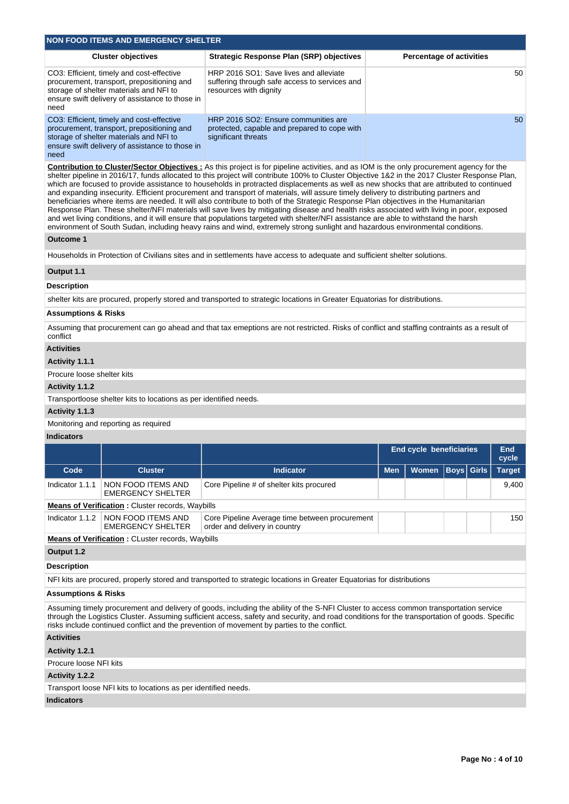|                                | <b>NON FOOD ITEMS AND EMERGENCY SHELTER</b>                                                                                                                                           |                                                                                                                                                                                                                                                                                                                                                                                                                                                                                                                                                                                                                                                                                                                                                                                                                                                                                                                                                                                                                                                                                                                                                  |            |                                 |                   |               |
|--------------------------------|---------------------------------------------------------------------------------------------------------------------------------------------------------------------------------------|--------------------------------------------------------------------------------------------------------------------------------------------------------------------------------------------------------------------------------------------------------------------------------------------------------------------------------------------------------------------------------------------------------------------------------------------------------------------------------------------------------------------------------------------------------------------------------------------------------------------------------------------------------------------------------------------------------------------------------------------------------------------------------------------------------------------------------------------------------------------------------------------------------------------------------------------------------------------------------------------------------------------------------------------------------------------------------------------------------------------------------------------------|------------|---------------------------------|-------------------|---------------|
|                                | <b>Cluster objectives</b>                                                                                                                                                             | <b>Strategic Response Plan (SRP) objectives</b>                                                                                                                                                                                                                                                                                                                                                                                                                                                                                                                                                                                                                                                                                                                                                                                                                                                                                                                                                                                                                                                                                                  |            | <b>Percentage of activities</b> |                   |               |
| need                           | CO3: Efficient, timely and cost-effective<br>procurement, transport, prepositioning and<br>storage of shelter materials and NFI to<br>ensure swift delivery of assistance to those in | HRP 2016 SO1: Save lives and alleviate<br>suffering through safe access to services and<br>resources with dignity                                                                                                                                                                                                                                                                                                                                                                                                                                                                                                                                                                                                                                                                                                                                                                                                                                                                                                                                                                                                                                |            |                                 |                   | 50            |
| need                           | CO3: Efficient, timely and cost-effective<br>procurement, transport, prepositioning and<br>storage of shelter materials and NFI to<br>ensure swift delivery of assistance to those in | HRP 2016 SO2: Ensure communities are<br>protected, capable and prepared to cope with<br>significant threats                                                                                                                                                                                                                                                                                                                                                                                                                                                                                                                                                                                                                                                                                                                                                                                                                                                                                                                                                                                                                                      |            |                                 |                   | 50            |
|                                |                                                                                                                                                                                       | <b>Contribution to Cluster/Sector Objectives:</b> As this project is for pipeline activities, and as IOM is the only procurement agency for the<br>shelter pipeline in 2016/17, funds allocated to this project will contribute 100% to Cluster Objective 1&2 in the 2017 Cluster Response Plan,<br>which are focused to provide assistance to households in protracted displacements as well as new shocks that are attributed to continued<br>and expanding insecurity. Efficient procurement and transport of materials, will assure timely delivery to distributing partners and<br>beneficiaries where items are needed. It will also contribute to both of the Strategic Response Plan objectives in the Humanitarian<br>Response Plan. These shelter/NFI materials will save lives by mitigating disease and health risks associated with living in poor, exposed<br>and wet living conditions, and it will ensure that populations targeted with shelter/NFI assistance are able to withstand the harsh<br>environment of South Sudan, including heavy rains and wind, extremely strong sunlight and hazardous environmental conditions. |            |                                 |                   |               |
| Outcome 1                      |                                                                                                                                                                                       |                                                                                                                                                                                                                                                                                                                                                                                                                                                                                                                                                                                                                                                                                                                                                                                                                                                                                                                                                                                                                                                                                                                                                  |            |                                 |                   |               |
|                                |                                                                                                                                                                                       | Households in Protection of Civilians sites and in settlements have access to adequate and sufficient shelter solutions.                                                                                                                                                                                                                                                                                                                                                                                                                                                                                                                                                                                                                                                                                                                                                                                                                                                                                                                                                                                                                         |            |                                 |                   |               |
| Output 1.1                     |                                                                                                                                                                                       |                                                                                                                                                                                                                                                                                                                                                                                                                                                                                                                                                                                                                                                                                                                                                                                                                                                                                                                                                                                                                                                                                                                                                  |            |                                 |                   |               |
| <b>Description</b>             |                                                                                                                                                                                       |                                                                                                                                                                                                                                                                                                                                                                                                                                                                                                                                                                                                                                                                                                                                                                                                                                                                                                                                                                                                                                                                                                                                                  |            |                                 |                   |               |
|                                |                                                                                                                                                                                       | shelter kits are procured, properly stored and transported to strategic locations in Greater Equatorias for distributions.                                                                                                                                                                                                                                                                                                                                                                                                                                                                                                                                                                                                                                                                                                                                                                                                                                                                                                                                                                                                                       |            |                                 |                   |               |
| <b>Assumptions &amp; Risks</b> |                                                                                                                                                                                       |                                                                                                                                                                                                                                                                                                                                                                                                                                                                                                                                                                                                                                                                                                                                                                                                                                                                                                                                                                                                                                                                                                                                                  |            |                                 |                   |               |
| conflict                       |                                                                                                                                                                                       | Assuming that procurement can go ahead and that tax emeptions are not restricted. Risks of conflict and staffing contraints as a result of                                                                                                                                                                                                                                                                                                                                                                                                                                                                                                                                                                                                                                                                                                                                                                                                                                                                                                                                                                                                       |            |                                 |                   |               |
| <b>Activities</b>              |                                                                                                                                                                                       |                                                                                                                                                                                                                                                                                                                                                                                                                                                                                                                                                                                                                                                                                                                                                                                                                                                                                                                                                                                                                                                                                                                                                  |            |                                 |                   |               |
| Activity 1.1.1                 |                                                                                                                                                                                       |                                                                                                                                                                                                                                                                                                                                                                                                                                                                                                                                                                                                                                                                                                                                                                                                                                                                                                                                                                                                                                                                                                                                                  |            |                                 |                   |               |
| Procure loose shelter kits     |                                                                                                                                                                                       |                                                                                                                                                                                                                                                                                                                                                                                                                                                                                                                                                                                                                                                                                                                                                                                                                                                                                                                                                                                                                                                                                                                                                  |            |                                 |                   |               |
| Activity 1.1.2                 |                                                                                                                                                                                       |                                                                                                                                                                                                                                                                                                                                                                                                                                                                                                                                                                                                                                                                                                                                                                                                                                                                                                                                                                                                                                                                                                                                                  |            |                                 |                   |               |
|                                | Transportloose shelter kits to locations as per identified needs.                                                                                                                     |                                                                                                                                                                                                                                                                                                                                                                                                                                                                                                                                                                                                                                                                                                                                                                                                                                                                                                                                                                                                                                                                                                                                                  |            |                                 |                   |               |
| Activity 1.1.3                 | Monitoring and reporting as required                                                                                                                                                  |                                                                                                                                                                                                                                                                                                                                                                                                                                                                                                                                                                                                                                                                                                                                                                                                                                                                                                                                                                                                                                                                                                                                                  |            |                                 |                   |               |
| <b>Indicators</b>              |                                                                                                                                                                                       |                                                                                                                                                                                                                                                                                                                                                                                                                                                                                                                                                                                                                                                                                                                                                                                                                                                                                                                                                                                                                                                                                                                                                  |            |                                 |                   |               |
|                                |                                                                                                                                                                                       |                                                                                                                                                                                                                                                                                                                                                                                                                                                                                                                                                                                                                                                                                                                                                                                                                                                                                                                                                                                                                                                                                                                                                  |            | <b>End cycle beneficiaries</b>  |                   | End           |
|                                |                                                                                                                                                                                       |                                                                                                                                                                                                                                                                                                                                                                                                                                                                                                                                                                                                                                                                                                                                                                                                                                                                                                                                                                                                                                                                                                                                                  |            |                                 |                   | cycle         |
| Code                           | <b>Cluster</b>                                                                                                                                                                        | <b>Indicator</b>                                                                                                                                                                                                                                                                                                                                                                                                                                                                                                                                                                                                                                                                                                                                                                                                                                                                                                                                                                                                                                                                                                                                 | <b>Men</b> | <b>Women</b>                    | <b>Boys</b> Girls | <b>Target</b> |
| Indicator 1.1.1                | NON FOOD ITEMS AND<br><b>EMERGENCY SHELTER</b>                                                                                                                                        | Core Pipeline # of shelter kits procured                                                                                                                                                                                                                                                                                                                                                                                                                                                                                                                                                                                                                                                                                                                                                                                                                                                                                                                                                                                                                                                                                                         |            |                                 |                   | 9,400         |
|                                | <b>Means of Verification:</b> Cluster records, Waybills                                                                                                                               |                                                                                                                                                                                                                                                                                                                                                                                                                                                                                                                                                                                                                                                                                                                                                                                                                                                                                                                                                                                                                                                                                                                                                  |            |                                 |                   |               |
| Indicator 1.1.2                | NON FOOD ITEMS AND<br><b>EMERGENCY SHELTER</b>                                                                                                                                        | Core Pipeline Average time between procurement<br>order and delivery in country                                                                                                                                                                                                                                                                                                                                                                                                                                                                                                                                                                                                                                                                                                                                                                                                                                                                                                                                                                                                                                                                  |            |                                 |                   | 150           |
|                                | <b>Means of Verification:</b> CLuster records, Waybills                                                                                                                               |                                                                                                                                                                                                                                                                                                                                                                                                                                                                                                                                                                                                                                                                                                                                                                                                                                                                                                                                                                                                                                                                                                                                                  |            |                                 |                   |               |
| Output 1.2                     |                                                                                                                                                                                       |                                                                                                                                                                                                                                                                                                                                                                                                                                                                                                                                                                                                                                                                                                                                                                                                                                                                                                                                                                                                                                                                                                                                                  |            |                                 |                   |               |
| <b>Description</b>             |                                                                                                                                                                                       |                                                                                                                                                                                                                                                                                                                                                                                                                                                                                                                                                                                                                                                                                                                                                                                                                                                                                                                                                                                                                                                                                                                                                  |            |                                 |                   |               |
|                                |                                                                                                                                                                                       | NFI kits are procured, properly stored and transported to strategic locations in Greater Equatorias for distributions                                                                                                                                                                                                                                                                                                                                                                                                                                                                                                                                                                                                                                                                                                                                                                                                                                                                                                                                                                                                                            |            |                                 |                   |               |
| Assumptions & Risks            |                                                                                                                                                                                       |                                                                                                                                                                                                                                                                                                                                                                                                                                                                                                                                                                                                                                                                                                                                                                                                                                                                                                                                                                                                                                                                                                                                                  |            |                                 |                   |               |
|                                |                                                                                                                                                                                       | Assuming timely procurement and delivery of goods, including the ability of the S-NFI Cluster to access common transportation service<br>through the Logistics Cluster. Assuming sufficient access, safety and security, and road conditions for the transportation of goods. Specific<br>risks include continued conflict and the prevention of movement by parties to the conflict.                                                                                                                                                                                                                                                                                                                                                                                                                                                                                                                                                                                                                                                                                                                                                            |            |                                 |                   |               |
| <b>Activities</b>              |                                                                                                                                                                                       |                                                                                                                                                                                                                                                                                                                                                                                                                                                                                                                                                                                                                                                                                                                                                                                                                                                                                                                                                                                                                                                                                                                                                  |            |                                 |                   |               |
| Activity 1.2.1                 |                                                                                                                                                                                       |                                                                                                                                                                                                                                                                                                                                                                                                                                                                                                                                                                                                                                                                                                                                                                                                                                                                                                                                                                                                                                                                                                                                                  |            |                                 |                   |               |
| Procure loose NFI kits         |                                                                                                                                                                                       |                                                                                                                                                                                                                                                                                                                                                                                                                                                                                                                                                                                                                                                                                                                                                                                                                                                                                                                                                                                                                                                                                                                                                  |            |                                 |                   |               |
| Activity 1.2.2                 |                                                                                                                                                                                       |                                                                                                                                                                                                                                                                                                                                                                                                                                                                                                                                                                                                                                                                                                                                                                                                                                                                                                                                                                                                                                                                                                                                                  |            |                                 |                   |               |
|                                | Transport loose NFI kits to locations as per identified needs.                                                                                                                        |                                                                                                                                                                                                                                                                                                                                                                                                                                                                                                                                                                                                                                                                                                                                                                                                                                                                                                                                                                                                                                                                                                                                                  |            |                                 |                   |               |
| <b>Indicators</b>              |                                                                                                                                                                                       |                                                                                                                                                                                                                                                                                                                                                                                                                                                                                                                                                                                                                                                                                                                                                                                                                                                                                                                                                                                                                                                                                                                                                  |            |                                 |                   |               |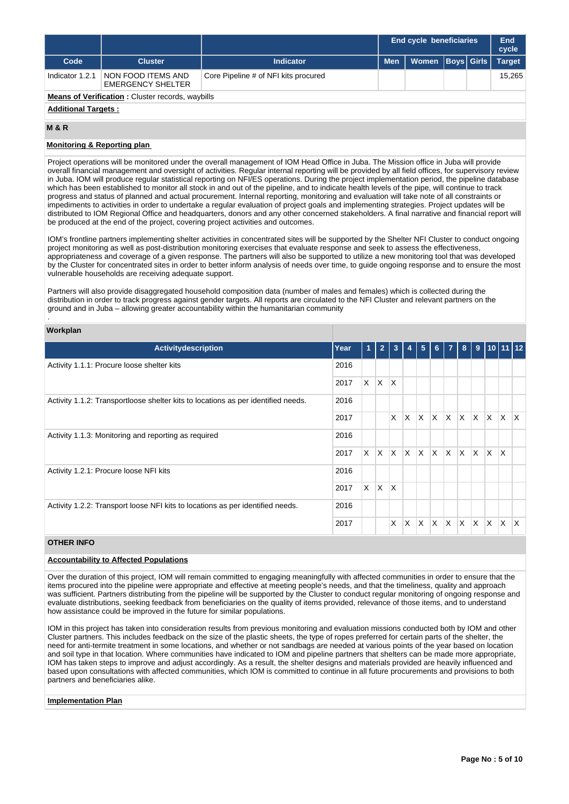|                 |                                                         |                                      |            | <b>End cycle beneficiaries</b> |  |  | End<br>cycle  |  |  |  |
|-----------------|---------------------------------------------------------|--------------------------------------|------------|--------------------------------|--|--|---------------|--|--|--|
| Code            | <b>Cluster</b>                                          | <b>Indicator</b>                     | <b>Men</b> | Women   Boys   Girls           |  |  | <b>Target</b> |  |  |  |
| Indicator 1.2.1 | NON FOOD ITEMS AND<br><b>EMERGENCY SHELTER</b>          | Core Pipeline # of NFI kits procured |            |                                |  |  | 15.265        |  |  |  |
|                 | <b>Means of Verification:</b> Cluster records, waybills |                                      |            |                                |  |  |               |  |  |  |

## **Additional Targets :**

### **M & R**

## **Monitoring & Reporting plan**

Project operations will be monitored under the overall management of IOM Head Office in Juba. The Mission office in Juba will provide overall financial management and oversight of activities. Regular internal reporting will be provided by all field offices, for supervisory review in Juba. IOM will produce regular statistical reporting on NFI/ES operations. During the project implementation period, the pipeline database which has been established to monitor all stock in and out of the pipeline, and to indicate health levels of the pipe, will continue to track progress and status of planned and actual procurement. Internal reporting, monitoring and evaluation will take note of all constraints or impediments to activities in order to undertake a regular evaluation of project goals and implementing strategies. Project updates will be distributed to IOM Regional Office and headquarters, donors and any other concerned stakeholders. A final narrative and financial report will be produced at the end of the project, covering project activities and outcomes.

IOM's frontline partners implementing shelter activities in concentrated sites will be supported by the Shelter NFI Cluster to conduct ongoing project monitoring as well as post-distribution monitoring exercises that evaluate response and seek to assess the effectiveness, appropriateness and coverage of a given response. The partners will also be supported to utilize a new monitoring tool that was developed by the Cluster for concentrated sites in order to better inform analysis of needs over time, to guide ongoing response and to ensure the most vulnerable households are receiving adequate support.

Partners will also provide disaggregated household composition data (number of males and females) which is collected during the distribution in order to track progress against gender targets. All reports are circulated to the NFI Cluster and relevant partners on the ground and in Juba – allowing greater accountability within the humanitarian community

## **Workplan**

.

| Activitydescription                                                               | Year | $\blacktriangleleft$ | $\overline{2}$ | 3            | 4        | 5 <sub>5</sub> | $-6$                    | $\overline{7}$          | 8  |              |              | $9$ 10 11 12            |              |
|-----------------------------------------------------------------------------------|------|----------------------|----------------|--------------|----------|----------------|-------------------------|-------------------------|----|--------------|--------------|-------------------------|--------------|
| Activity 1.1.1: Procure loose shelter kits                                        | 2016 |                      |                |              |          |                |                         |                         |    |              |              |                         |              |
|                                                                                   | 2017 | X                    | ΙX.            | <sup>X</sup> |          |                |                         |                         |    |              |              |                         |              |
| Activity 1.1.2: Transportloose shelter kits to locations as per identified needs. | 2016 |                      |                |              |          |                |                         |                         |    |              |              |                         |              |
|                                                                                   | 2017 |                      |                | X            | X        | <b>X</b>       | ΙX.                     | $X$ $X$ $X$             |    |              | $\mathsf{X}$ | $\mathsf{X} \mathsf{X}$ |              |
| Activity 1.1.3: Monitoring and reporting as required                              | 2016 |                      |                |              |          |                |                         |                         |    |              |              |                         |              |
|                                                                                   | 2017 | $\times$             | ΙX.            | $\mathsf{X}$ | <b>X</b> | ΙX.            | $\mathsf{X}$            | $\mathsf{X} \mathsf{X}$ |    | $\mathsf{X}$ | $\mathsf{X}$ | ΙX.                     |              |
| Activity 1.2.1: Procure loose NFI kits                                            | 2016 |                      |                |              |          |                |                         |                         |    |              |              |                         |              |
|                                                                                   | 2017 | X                    | ΙX.            | X            |          |                |                         |                         |    |              |              |                         |              |
| Activity 1.2.2: Transport loose NFI kits to locations as per identified needs.    | 2016 |                      |                |              |          |                |                         |                         |    |              |              |                         |              |
|                                                                                   | 2017 |                      |                | X            | X        | $\times$       | $\overline{\mathsf{x}}$ | IX.                     | X. | X.           | X            | X                       | $\mathsf{x}$ |

## **OTHER INFO**

## **Accountability to Affected Populations**

Over the duration of this project, IOM will remain committed to engaging meaningfully with affected communities in order to ensure that the items procured into the pipeline were appropriate and effective at meeting people's needs, and that the timeliness, quality and approach was sufficient. Partners distributing from the pipeline will be supported by the Cluster to conduct regular monitoring of ongoing response and evaluate distributions, seeking feedback from beneficiaries on the quality of items provided, relevance of those items, and to understand how assistance could be improved in the future for similar populations.

IOM in this project has taken into consideration results from previous monitoring and evaluation missions conducted both by IOM and other Cluster partners. This includes feedback on the size of the plastic sheets, the type of ropes preferred for certain parts of the shelter, the need for anti-termite treatment in some locations, and whether or not sandbags are needed at various points of the year based on location and soil type in that location. Where communities have indicated to IOM and pipeline partners that shelters can be made more appropriate, IOM has taken steps to improve and adjust accordingly. As a result, the shelter designs and materials provided are heavily influenced and based upon consultations with affected communities, which IOM is committed to continue in all future procurements and provisions to both partners and beneficiaries alike.

### **Implementation Plan**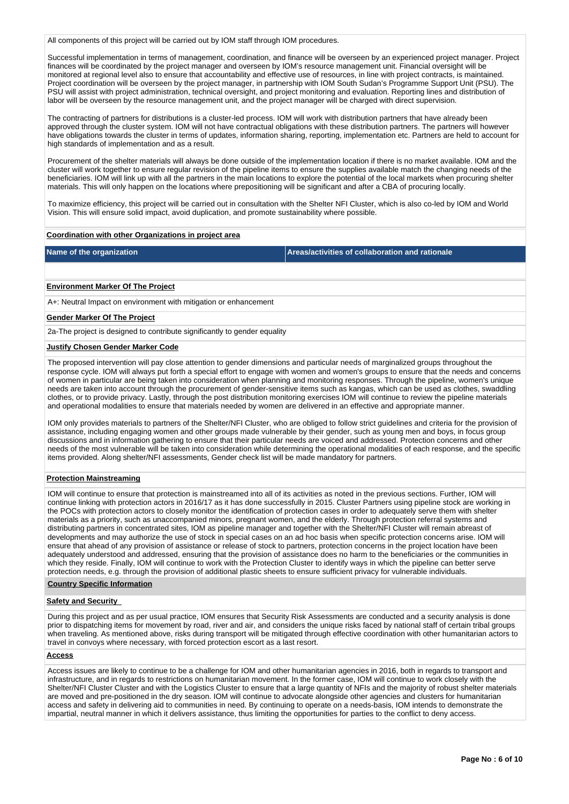All components of this project will be carried out by IOM staff through IOM procedures.

Successful implementation in terms of management, coordination, and finance will be overseen by an experienced project manager. Project finances will be coordinated by the project manager and overseen by IOM's resource management unit. Financial oversight will be monitored at regional level also to ensure that accountability and effective use of resources, in line with project contracts, is maintained. Project coordination will be overseen by the project manager, in partnership with IOM South Sudan's Programme Support Unit (PSU). The PSU will assist with project administration, technical oversight, and project monitoring and evaluation. Reporting lines and distribution of labor will be overseen by the resource management unit, and the project manager will be charged with direct supervision.

The contracting of partners for distributions is a cluster-led process. IOM will work with distribution partners that have already been approved through the cluster system. IOM will not have contractual obligations with these distribution partners. The partners will however have obligations towards the cluster in terms of updates, information sharing, reporting, implementation etc. Partners are held to account for high standards of implementation and as a result.

Procurement of the shelter materials will always be done outside of the implementation location if there is no market available. IOM and the cluster will work together to ensure regular revision of the pipeline items to ensure the supplies available match the changing needs of the beneficiaries. IOM will link up with all the partners in the main locations to explore the potential of the local markets when procuring shelter materials. This will only happen on the locations where prepositioning will be significant and after a CBA of procuring locally.

To maximize efficiency, this project will be carried out in consultation with the Shelter NFI Cluster, which is also co-led by IOM and World Vision. This will ensure solid impact, avoid duplication, and promote sustainability where possible.

### **Coordination with other Organizations in project area**

**Name of the organization Areas/activities of collaboration and rationale** 

### **Environment Marker Of The Project**

A+: Neutral Impact on environment with mitigation or enhancement

### **Gender Marker Of The Project**

2a-The project is designed to contribute significantly to gender equality

#### **Justify Chosen Gender Marker Code**

The proposed intervention will pay close attention to gender dimensions and particular needs of marginalized groups throughout the response cycle. IOM will always put forth a special effort to engage with women and women's groups to ensure that the needs and concerns of women in particular are being taken into consideration when planning and monitoring responses. Through the pipeline, women's unique needs are taken into account through the procurement of gender-sensitive items such as kangas, which can be used as clothes, swaddling clothes, or to provide privacy. Lastly, through the post distribution monitoring exercises IOM will continue to review the pipeline materials and operational modalities to ensure that materials needed by women are delivered in an effective and appropriate manner.

IOM only provides materials to partners of the Shelter/NFI Cluster, who are obliged to follow strict guidelines and criteria for the provision of assistance, including engaging women and other groups made vulnerable by their gender, such as young men and boys, in focus group discussions and in information gathering to ensure that their particular needs are voiced and addressed. Protection concerns and other needs of the most vulnerable will be taken into consideration while determining the operational modalities of each response, and the specific items provided. Along shelter/NFI assessments, Gender check list will be made mandatory for partners.

### **Protection Mainstreaming**

IOM will continue to ensure that protection is mainstreamed into all of its activities as noted in the previous sections. Further, IOM will continue linking with protection actors in 2016/17 as it has done successfully in 2015. Cluster Partners using pipeline stock are working in the POCs with protection actors to closely monitor the identification of protection cases in order to adequately serve them with shelter materials as a priority, such as unaccompanied minors, pregnant women, and the elderly. Through protection referral systems and distributing partners in concentrated sites, IOM as pipeline manager and together with the Shelter/NFI Cluster will remain abreast of developments and may authorize the use of stock in special cases on an ad hoc basis when specific protection concerns arise. IOM will ensure that ahead of any provision of assistance or release of stock to partners, protection concerns in the project location have been adequately understood and addressed, ensuring that the provision of assistance does no harm to the beneficiaries or the communities in which they reside. Finally, IOM will continue to work with the Protection Cluster to identify ways in which the pipeline can better serve protection needs, e.g. through the provision of additional plastic sheets to ensure sufficient privacy for vulnerable individuals.

### **Country Specific Information**

## **Safety and Security**

During this project and as per usual practice, IOM ensures that Security Risk Assessments are conducted and a security analysis is done prior to dispatching items for movement by road, river and air, and considers the unique risks faced by national staff of certain tribal groups when traveling. As mentioned above, risks during transport will be mitigated through effective coordination with other humanitarian actors to travel in convoys where necessary, with forced protection escort as a last resort.

## **Access**

Access issues are likely to continue to be a challenge for IOM and other humanitarian agencies in 2016, both in regards to transport and infrastructure, and in regards to restrictions on humanitarian movement. In the former case, IOM will continue to work closely with the Shelter/NFI Cluster Cluster and with the Logistics Cluster to ensure that a large quantity of NFIs and the majority of robust shelter materials are moved and pre-positioned in the dry season. IOM will continue to advocate alongside other agencies and clusters for humanitarian access and safety in delivering aid to communities in need. By continuing to operate on a needs-basis, IOM intends to demonstrate the impartial, neutral manner in which it delivers assistance, thus limiting the opportunities for parties to the conflict to deny access.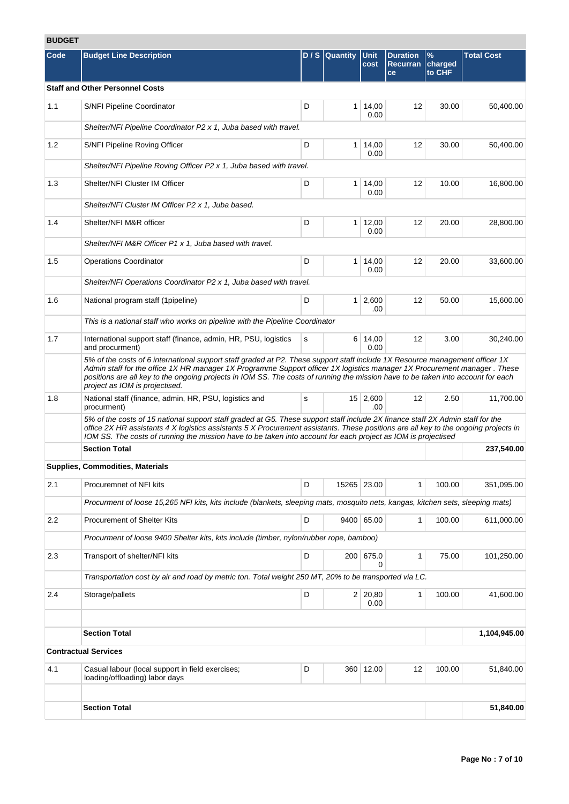# **BUDGET**

| DUDGEI |                                                                                                                                                                                                                                                                                                                                                                                                                                |   |              |                        |                                          |                                    |                   |
|--------|--------------------------------------------------------------------------------------------------------------------------------------------------------------------------------------------------------------------------------------------------------------------------------------------------------------------------------------------------------------------------------------------------------------------------------|---|--------------|------------------------|------------------------------------------|------------------------------------|-------------------|
| Code   | <b>Budget Line Description</b>                                                                                                                                                                                                                                                                                                                                                                                                 |   | D/S Quantity | <b>Unit</b><br>cost    | <b>Duration</b><br><b>Recurran</b><br>ce | $\frac{9}{6}$<br>charged<br>to CHF | <b>Total Cost</b> |
|        | <b>Staff and Other Personnel Costs</b>                                                                                                                                                                                                                                                                                                                                                                                         |   |              |                        |                                          |                                    |                   |
| 1.1    | S/NFI Pipeline Coordinator                                                                                                                                                                                                                                                                                                                                                                                                     | D |              | $1 \mid 14,00$<br>0.00 | 12                                       | 30.00                              | 50,400.00         |
|        | Shelter/NFI Pipeline Coordinator P2 x 1, Juba based with travel.                                                                                                                                                                                                                                                                                                                                                               |   |              |                        |                                          |                                    |                   |
| 1.2    | S/NFI Pipeline Roving Officer                                                                                                                                                                                                                                                                                                                                                                                                  | D |              | 1   14,00<br>0.00      | 12                                       | 30.00                              | 50,400.00         |
|        | Shelter/NFI Pipeline Roving Officer P2 x 1, Juba based with travel.                                                                                                                                                                                                                                                                                                                                                            |   |              |                        |                                          |                                    |                   |
| 1.3    | Shelter/NFI Cluster IM Officer                                                                                                                                                                                                                                                                                                                                                                                                 | D |              | $1 \mid 14,00$<br>0.00 | 12                                       | 10.00                              | 16,800.00         |
|        | Shelter/NFI Cluster IM Officer P2 x 1, Juba based.                                                                                                                                                                                                                                                                                                                                                                             |   |              |                        |                                          |                                    |                   |
| 1.4    | Shelter/NFI M&R officer                                                                                                                                                                                                                                                                                                                                                                                                        | D |              | $1 \mid 12,00$<br>0.00 | 12                                       | 20.00                              | 28,800.00         |
|        | Shelter/NFI M&R Officer P1 x 1, Juba based with travel.                                                                                                                                                                                                                                                                                                                                                                        |   |              |                        |                                          |                                    |                   |
| 1.5    | <b>Operations Coordinator</b>                                                                                                                                                                                                                                                                                                                                                                                                  | D |              | $1 \mid 14,00$<br>0.00 | 12                                       | 20.00                              | 33,600.00         |
|        | Shelter/NFI Operations Coordinator P2 x 1, Juba based with travel.                                                                                                                                                                                                                                                                                                                                                             |   |              |                        |                                          |                                    |                   |
| 1.6    | National program staff (1pipeline)                                                                                                                                                                                                                                                                                                                                                                                             | D |              | $1 \ 2,600$<br>.00     | 12                                       | 50.00                              | 15,600.00         |
|        | This is a national staff who works on pipeline with the Pipeline Coordinator                                                                                                                                                                                                                                                                                                                                                   |   |              |                        |                                          |                                    |                   |
| 1.7    | International support staff (finance, admin, HR, PSU, logistics<br>and procurment)                                                                                                                                                                                                                                                                                                                                             | s |              | 6 14,00<br>0.00        | 12                                       | 3.00                               | 30,240.00         |
|        | 5% of the costs of 6 international support staff graded at P2. These support staff include 1X Resource management officer 1X<br>Admin staff for the office 1X HR manager 1X Programme Support officer 1X logistics manager 1X Procurement manager. These<br>positions are all key to the ongoing projects in IOM SS. The costs of running the mission have to be taken into account for each<br>project as IOM is projectised. |   |              |                        |                                          |                                    |                   |
| 1.8    | National staff (finance, admin, HR, PSU, logistics and<br>procurment)                                                                                                                                                                                                                                                                                                                                                          | s |              | 15 2,600<br>.00        | $12 \overline{ }$                        | 2.50                               | 11,700.00         |
|        | 5% of the costs of 15 national support staff graded at G5. These support staff include 2X finance staff 2X Admin staff for the<br>office 2X HR assistants 4 X logistics assistants 5 X Procurement assistants. These positions are all key to the ongoing projects in<br>IOM SS. The costs of running the mission have to be taken into account for each project as IOM is projectised                                         |   |              |                        |                                          |                                    |                   |
|        | <b>Section Total</b>                                                                                                                                                                                                                                                                                                                                                                                                           |   |              |                        |                                          |                                    | 237,540.00        |
|        | <b>Supplies, Commodities, Materials</b>                                                                                                                                                                                                                                                                                                                                                                                        |   |              |                        |                                          |                                    |                   |
| 2.1    | Procuremnet of NFI kits                                                                                                                                                                                                                                                                                                                                                                                                        | D |              | 15265 23.00            | $\mathbf{1}$                             | 100.00                             | 351,095.00        |
|        | Procurment of loose 15,265 NFI kits, kits include (blankets, sleeping mats, mosquito nets, kangas, kitchen sets, sleeping mats)                                                                                                                                                                                                                                                                                                |   |              |                        |                                          |                                    |                   |
| 2.2    | Procurement of Shelter Kits                                                                                                                                                                                                                                                                                                                                                                                                    | D |              | 9400 65.00             | 1                                        | 100.00                             | 611,000.00        |
|        | Procurment of loose 9400 Shelter kits, kits include (timber, nylon/rubber rope, bamboo)                                                                                                                                                                                                                                                                                                                                        |   |              |                        |                                          |                                    |                   |
| 2.3    | Transport of shelter/NFI kits                                                                                                                                                                                                                                                                                                                                                                                                  | D |              | 200 675.0<br>0         | $\mathbf{1}$                             | 75.00                              | 101,250.00        |
|        | Transportation cost by air and road by metric ton. Total weight 250 MT, 20% to be transported via LC.                                                                                                                                                                                                                                                                                                                          |   |              |                        |                                          |                                    |                   |
| 2.4    | Storage/pallets                                                                                                                                                                                                                                                                                                                                                                                                                | D |              | 2 20,80<br>0.00        | 1                                        | 100.00                             | 41,600.00         |
|        |                                                                                                                                                                                                                                                                                                                                                                                                                                |   |              |                        |                                          |                                    |                   |
|        | <b>Section Total</b>                                                                                                                                                                                                                                                                                                                                                                                                           |   |              |                        |                                          |                                    | 1,104,945.00      |
|        | <b>Contractual Services</b>                                                                                                                                                                                                                                                                                                                                                                                                    |   |              |                        |                                          |                                    |                   |
| 4.1    | Casual labour (local support in field exercises;<br>loading/offloading) labor days                                                                                                                                                                                                                                                                                                                                             | D |              | 360 12.00              | 12                                       | 100.00                             | 51,840.00         |
|        | <b>Section Total</b>                                                                                                                                                                                                                                                                                                                                                                                                           |   |              |                        |                                          |                                    | 51,840.00         |
|        |                                                                                                                                                                                                                                                                                                                                                                                                                                |   |              |                        |                                          |                                    |                   |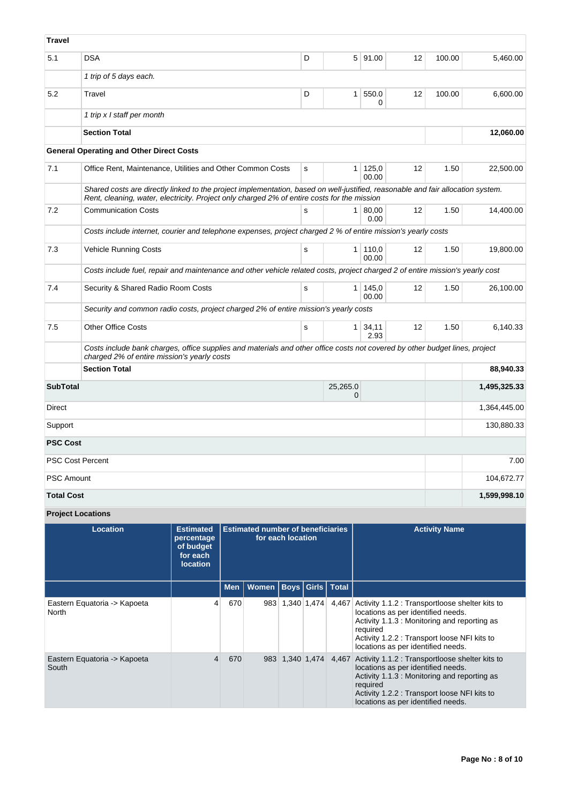| <b>Travel</b>     |                                                                                                                                                                                                                                |   |                |                |    |        |              |
|-------------------|--------------------------------------------------------------------------------------------------------------------------------------------------------------------------------------------------------------------------------|---|----------------|----------------|----|--------|--------------|
| 5.1               | DSA                                                                                                                                                                                                                            | D |                | 5 91.00        | 12 | 100.00 | 5,460.00     |
|                   | 1 trip of 5 days each.                                                                                                                                                                                                         |   |                |                |    |        |              |
| 5.2               | Travel                                                                                                                                                                                                                         | D | 1 <sup>1</sup> | 550.0<br>0     | 12 | 100.00 | 6,600.00     |
|                   | 1 trip x I staff per month                                                                                                                                                                                                     |   |                |                |    |        |              |
|                   | <b>Section Total</b>                                                                                                                                                                                                           |   |                |                |    |        | 12,060.00    |
|                   | <b>General Operating and Other Direct Costs</b>                                                                                                                                                                                |   |                |                |    |        |              |
| 7.1               | Office Rent, Maintenance, Utilities and Other Common Costs                                                                                                                                                                     | s | $\mathbf{1}$   | 125,0<br>00.00 | 12 | 1.50   | 22,500.00    |
|                   | Shared costs are directly linked to the project implementation, based on well-justified, reasonable and fair allocation system.<br>Rent, cleaning, water, electricity. Project only charged 2% of entire costs for the mission |   |                |                |    |        |              |
| 7.2               | <b>Communication Costs</b>                                                                                                                                                                                                     | s | 1 <sup>1</sup> | 80.00<br>0.00  | 12 | 1.50   | 14,400.00    |
|                   | Costs include internet, courier and telephone expenses, project charged 2 % of entire mission's yearly costs                                                                                                                   |   |                |                |    |        |              |
| 7.3               | <b>Vehicle Running Costs</b>                                                                                                                                                                                                   | s | 1 <sup>1</sup> | 110,0<br>00.00 | 12 | 1.50   | 19,800.00    |
|                   | Costs include fuel, repair and maintenance and other vehicle related costs, project charged 2 of entire mission's yearly cost                                                                                                  |   |                |                |    |        |              |
| 7.4               | Security & Shared Radio Room Costs                                                                                                                                                                                             | s | 1 <sup>1</sup> | 145,0<br>00.00 | 12 | 1.50   | 26.100.00    |
|                   | Security and common radio costs, project charged 2% of entire mission's yearly costs                                                                                                                                           |   |                |                |    |        |              |
| 7.5               | <b>Other Office Costs</b>                                                                                                                                                                                                      | s | 1 <sup>1</sup> | 34,11<br>2.93  | 12 | 1.50   | 6.140.33     |
|                   | Costs include bank charges, office supplies and materials and other office costs not covered by other budget lines, project<br>charged 2% of entire mission's yearly costs                                                     |   |                |                |    |        |              |
|                   | <b>Section Total</b>                                                                                                                                                                                                           |   |                |                |    |        | 88,940.33    |
| <b>SubTotal</b>   |                                                                                                                                                                                                                                |   | 25,265.0<br>0  |                |    |        | 1,495,325.33 |
| Direct            |                                                                                                                                                                                                                                |   |                |                |    |        | 1,364,445.00 |
| Support           |                                                                                                                                                                                                                                |   |                |                |    |        | 130,880.33   |
| <b>PSC Cost</b>   |                                                                                                                                                                                                                                |   |                |                |    |        |              |
|                   | <b>PSC Cost Percent</b>                                                                                                                                                                                                        |   |                |                |    |        | 7.00         |
| <b>PSC Amount</b> |                                                                                                                                                                                                                                |   |                |                |    |        | 104,672.77   |
| <b>Total Cost</b> |                                                                                                                                                                                                                                |   |                |                |    |        | 1,599,998.10 |
|                   | <b>Project Locations</b>                                                                                                                                                                                                       |   |                |                |    |        |              |

| Location                              | <b>Estimated</b><br>percentage<br>of budget<br>for each<br><b>location</b> |            | <b>Estimated number of beneficiaries</b> | for each location |                   |       | <b>Activity Name</b>                                                                                                                                                                                                                          |
|---------------------------------------|----------------------------------------------------------------------------|------------|------------------------------------------|-------------------|-------------------|-------|-----------------------------------------------------------------------------------------------------------------------------------------------------------------------------------------------------------------------------------------------|
|                                       |                                                                            | <b>Men</b> | Women   Boys   Girls   Total             |                   |                   |       |                                                                                                                                                                                                                                               |
| Eastern Equatoria -> Kapoeta<br>North | 4                                                                          | 670        | 983                                      |                   | $1,340$   $1,474$ | 4,467 | Activity 1.1.2 : Transportloose shelter kits to<br>locations as per identified needs.<br>Activity 1.1.3 : Monitoring and reporting as<br>required<br>Activity 1.2.2 : Transport loose NFI kits to<br>locations as per identified needs.       |
| Eastern Equatoria -> Kapoeta<br>South | 4                                                                          | 670        | 983                                      |                   | 1.340 1.474       |       | 4,467 Activity 1.1.2 : Transportloose shelter kits to<br>locations as per identified needs.<br>Activity 1.1.3 : Monitoring and reporting as<br>required<br>Activity 1.2.2 : Transport loose NFI kits to<br>locations as per identified needs. |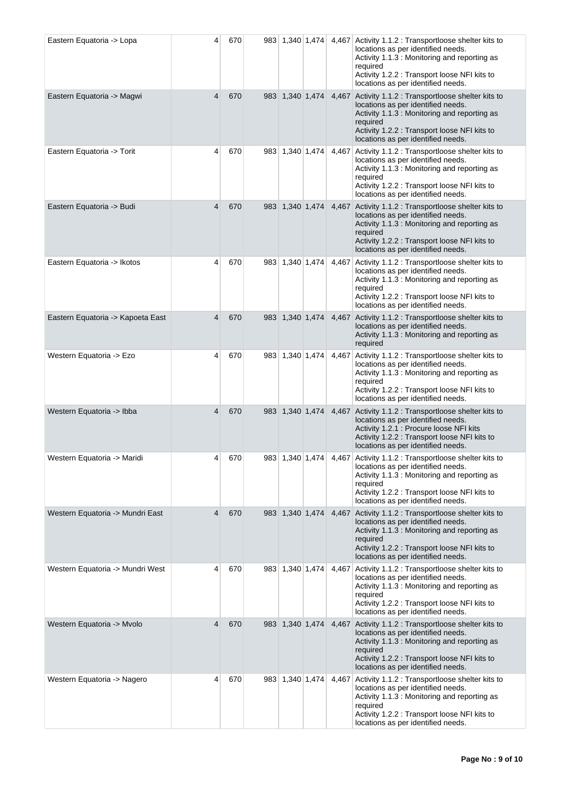| Eastern Equatoria -> Lopa         | 4              | 670 |     | 983 1,340 1,474 |             |       | 4,467 Activity 1.1.2 : Transportloose shelter kits to<br>locations as per identified needs.<br>Activity 1.1.3 : Monitoring and reporting as<br>required<br>Activity 1.2.2 : Transport loose NFI kits to<br>locations as per identified needs. |
|-----------------------------------|----------------|-----|-----|-----------------|-------------|-------|-----------------------------------------------------------------------------------------------------------------------------------------------------------------------------------------------------------------------------------------------|
| Eastern Equatoria -> Magwi        | $\overline{4}$ | 670 |     | 983 1,340 1,474 |             |       | 4,467 Activity 1.1.2 : Transportloose shelter kits to<br>locations as per identified needs.<br>Activity 1.1.3 : Monitoring and reporting as<br>required<br>Activity 1.2.2 : Transport loose NFI kits to<br>locations as per identified needs. |
| Eastern Equatoria -> Torit        | 4              | 670 | 983 | 1,340 1,474     |             | 4,467 | Activity 1.1.2 : Transportloose shelter kits to<br>locations as per identified needs.<br>Activity 1.1.3 : Monitoring and reporting as<br>required<br>Activity 1.2.2 : Transport loose NFI kits to<br>locations as per identified needs.       |
| Eastern Equatoria -> Budi         | 4              | 670 |     | 983 1,340 1,474 |             |       | 4,467 Activity 1.1.2 : Transportloose shelter kits to<br>locations as per identified needs.<br>Activity 1.1.3 : Monitoring and reporting as<br>required<br>Activity 1.2.2 : Transport loose NFI kits to<br>locations as per identified needs. |
| Eastern Equatoria -> Ikotos       | 4              | 670 | 983 |                 | 1,340 1,474 | 4,467 | Activity 1.1.2 : Transportloose shelter kits to<br>locations as per identified needs.<br>Activity 1.1.3 : Monitoring and reporting as<br>required<br>Activity 1.2.2 : Transport loose NFI kits to<br>locations as per identified needs.       |
| Eastern Equatoria -> Kapoeta East | $\overline{4}$ | 670 |     | 983 1,340 1,474 |             | 4,467 | Activity 1.1.2 : Transportloose shelter kits to<br>locations as per identified needs.<br>Activity 1.1.3 : Monitoring and reporting as<br>required                                                                                             |
| Western Equatoria -> Ezo          | 4              | 670 |     | 983 1,340 1,474 |             | 4,467 | Activity 1.1.2 : Transportloose shelter kits to<br>locations as per identified needs.<br>Activity 1.1.3 : Monitoring and reporting as<br>required<br>Activity 1.2.2 : Transport loose NFI kits to<br>locations as per identified needs.       |
| Western Equatoria -> Ibba         | 4              | 670 |     | 983 1,340 1,474 |             |       | 4,467 Activity 1.1.2 : Transportloose shelter kits to<br>locations as per identified needs.<br>Activity 1.2.1 : Procure loose NFI kits<br>Activity 1.2.2 : Transport loose NFI kits to<br>locations as per identified needs.                  |
| Western Equatoria -> Maridi       | 4              | 670 |     | 983 1,340 1,474 |             |       | 4,467 Activity 1.1.2 : Transportloose shelter kits to<br>locations as per identified needs.<br>Activity 1.1.3 : Monitoring and reporting as<br>required<br>Activity 1.2.2 : Transport loose NFI kits to<br>locations as per identified needs. |
| Western Equatoria -> Mundri East  | 4              | 670 |     | 983 1,340 1,474 |             |       | 4,467 Activity 1.1.2 : Transportloose shelter kits to<br>locations as per identified needs.<br>Activity 1.1.3 : Monitoring and reporting as<br>required<br>Activity 1.2.2 : Transport loose NFI kits to<br>locations as per identified needs. |
| Western Equatoria -> Mundri West  | 4              | 670 |     | 983 1,340 1,474 |             | 4,467 | Activity 1.1.2 : Transportloose shelter kits to<br>locations as per identified needs.<br>Activity 1.1.3 : Monitoring and reporting as<br>required<br>Activity 1.2.2 : Transport loose NFI kits to<br>locations as per identified needs.       |
| Western Equatoria -> Mvolo        | 4              | 670 |     | 983 1,340 1,474 |             |       | 4,467 Activity 1.1.2 : Transportloose shelter kits to<br>locations as per identified needs.<br>Activity 1.1.3 : Monitoring and reporting as<br>required<br>Activity 1.2.2 : Transport loose NFI kits to<br>locations as per identified needs. |
| Western Equatoria -> Nagero       | 4              | 670 |     | 983 1,340 1,474 |             | 4,467 | Activity 1.1.2 : Transportloose shelter kits to<br>locations as per identified needs.<br>Activity 1.1.3 : Monitoring and reporting as<br>required<br>Activity 1.2.2 : Transport loose NFI kits to<br>locations as per identified needs.       |